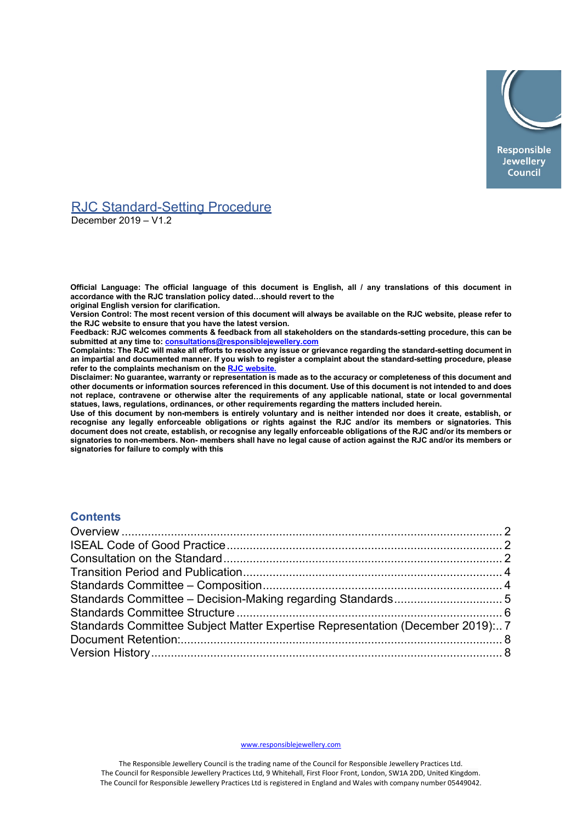

# RJC Standard-Setting Procedure

December 2019 – V1.2

**Official Language: The official language of this document is English, all / any translations of this document in accordance with the RJC translation policy dated…should revert to the original English version for clarification.**

**Version Control: The most recent version of this document will always be available on the RJC website, please refer to the RJC website to ensure that you have the latest version.**

**Feedback: RJC welcomes comments & feedback from all stakeholders on the standards-setting procedure, this can be submitted at any time to: [consultations@responsiblejewellery.com](mailto:consultations@responsiblejewellery.com)**

**Complaints: The RJC will make all efforts to resolve any issue or grievance regarding the standard-setting document in an impartial and documented manner. If you wish to register a complaint about the standard-setting procedure, please refer to the complaints mechanism on the [RJC website.](https://www.responsiblejewellery.com/)**

**Disclaimer: No guarantee, warranty or representation is made as to the accuracy or completeness of this document and other documents or information sources referenced in this document. Use of this document is not intended to and does not replace, contravene or otherwise alter the requirements of any applicable national, state or local governmental statues, laws, regulations, ordinances, or other requirements regarding the matters included herein.**

**Use of this document by non-members is entirely voluntary and is neither intended nor does it create, establish, or recognise any legally enforceable obligations or rights against the RJC and/or its members or signatories. This document does not create, establish, or recognise any legally enforceable obligations of the RJC and/or its members or signatories to non-members. Non- members shall have no legal cause of action against the RJC and/or its members or signatories for failure to comply with this**

### **Contents**

| Standards Committee Subject Matter Expertise Representation (December 2019):7 |  |
|-------------------------------------------------------------------------------|--|
|                                                                               |  |
|                                                                               |  |
|                                                                               |  |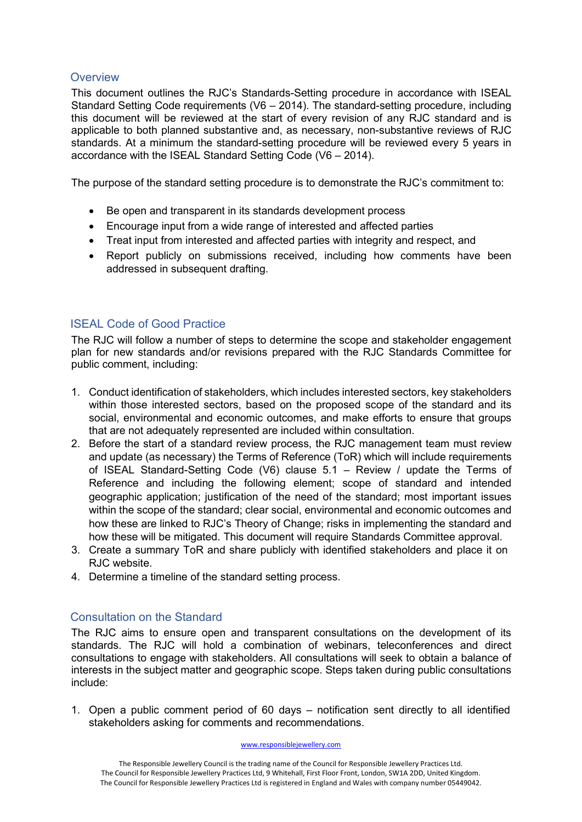## <span id="page-1-0"></span>**Overview**

This document outlines the RJC's Standards-Setting procedure in accordance with ISEAL Standard Setting Code requirements (V6 – 2014). The standard-setting procedure, including this document will be reviewed at the start of every revision of any RJC standard and is applicable to both planned substantive and, as necessary, non-substantive reviews of RJC standards. At a minimum the standard-setting procedure will be reviewed every 5 years in accordance with the ISEAL Standard Setting Code (V6 – 2014).

The purpose of the standard setting procedure is to demonstrate the RJC's commitment to:

- Be open and transparent in its standards development process
- Encourage input from a wide range of interested and affected parties
- Treat input from interested and affected parties with integrity and respect, and
- Report publicly on submissions received, including how comments have been addressed in subsequent drafting.

# <span id="page-1-1"></span>ISEAL Code of Good Practice

The RJC will follow a number of steps to determine the scope and stakeholder engagement plan for new standards and/or revisions prepared with the RJC Standards Committee for public comment, including:

- 1. Conduct identification of stakeholders, which includes interested sectors, key stakeholders within those interested sectors, based on the proposed scope of the standard and its social, environmental and economic outcomes, and make efforts to ensure that groups that are not adequately represented are included within consultation.
- 2. Before the start of a standard review process, the RJC management team must review and update (as necessary) the Terms of Reference (ToR) which will include requirements of ISEAL Standard-Setting Code (V6) clause 5.1 – Review / update the Terms of Reference and including the following element; scope of standard and intended geographic application; justification of the need of the standard; most important issues within the scope of the standard; clear social, environmental and economic outcomes and how these are linked to RJC's Theory of Change; risks in implementing the standard and how these will be mitigated. This document will require Standards Committee approval.
- 3. Create a summary ToR and share publicly with identified stakeholders and place it on RJC website.
- 4. Determine a timeline of the standard setting process.

# <span id="page-1-2"></span>Consultation on the Standard

The RJC aims to ensure open and transparent consultations on the development of its standards. The RJC will hold a combination of webinars, teleconferences and direct consultations to engage with stakeholders. All consultations will seek to obtain a balance of interests in the subject matter and geographic scope. Steps taken during public consultations include:

1. Open a public comment period of 60 days – notification sent directly to all identified stakeholders asking for comments and recommendations.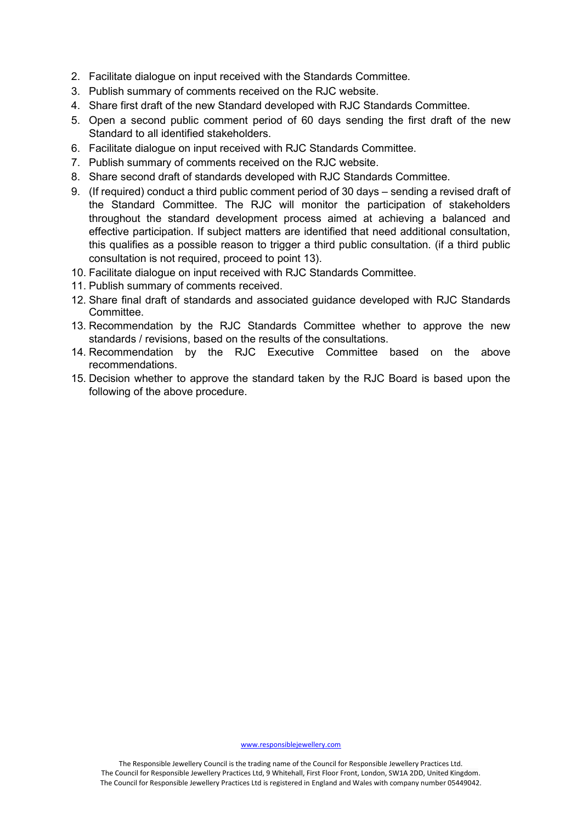- 2. Facilitate dialogue on input received with the Standards Committee.
- 3. Publish summary of comments received on the RJC website.
- 4. Share first draft of the new Standard developed with RJC Standards Committee.
- 5. Open a second public comment period of 60 days sending the first draft of the new Standard to all identified stakeholders.
- 6. Facilitate dialogue on input received with RJC Standards Committee.
- 7. Publish summary of comments received on the RJC website.
- 8. Share second draft of standards developed with RJC Standards Committee.
- 9. (If required) conduct a third public comment period of 30 days sending a revised draft of the Standard Committee. The RJC will monitor the participation of stakeholders throughout the standard development process aimed at achieving a balanced and effective participation. If subject matters are identified that need additional consultation, this qualifies as a possible reason to trigger a third public consultation. (if a third public consultation is not required, proceed to point 13).
- 10. Facilitate dialogue on input received with RJC Standards Committee.
- 11. Publish summary of comments received.
- 12. Share final draft of standards and associated guidance developed with RJC Standards Committee.
- 13. Recommendation by the RJC Standards Committee whether to approve the new standards / revisions, based on the results of the consultations.
- 14. Recommendation by the RJC Executive Committee based on the above recommendations.
- 15. Decision whether to approve the standard taken by the RJC Board is based upon the following of the above procedure.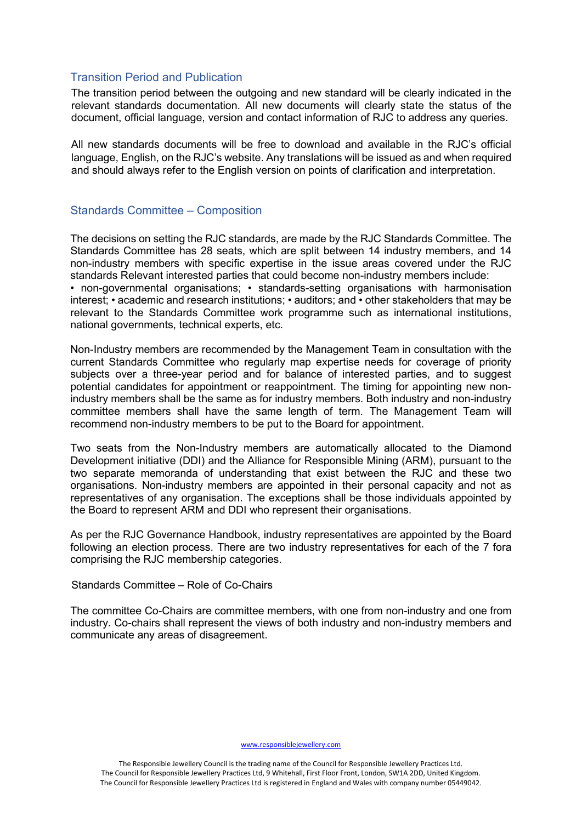### <span id="page-3-0"></span>Transition Period and Publication

The transition period between the outgoing and new standard will be clearly indicated in the relevant standards documentation. All new documents will clearly state the status of the document, official language, version and contact information of RJC to address any queries.

All new standards documents will be free to download and available in the RJC's official language, English, on the RJC's website. Any translations will be issued as and when required and should always refer to the English version on points of clarification and interpretation.

## <span id="page-3-1"></span>Standards Committee – Composition

The decisions on setting the RJC standards, are made by the RJC Standards Committee. The Standards Committee has 28 seats, which are split between 14 industry members, and 14 non-industry members with specific expertise in the issue areas covered under the RJC standards Relevant interested parties that could become non-industry members include: • non-governmental organisations; • standards-setting organisations with harmonisation interest; • academic and research institutions; • auditors; and • other stakeholders that may be relevant to the Standards Committee work programme such as international institutions, national governments, technical experts, etc.

Non-Industry members are recommended by the Management Team in consultation with the current Standards Committee who regularly map expertise needs for coverage of priority subjects over a three-year period and for balance of interested parties, and to suggest potential candidates for appointment or reappointment. The timing for appointing new nonindustry members shall be the same as for industry members. Both industry and non-industry committee members shall have the same length of term. The Management Team will recommend non-industry members to be put to the Board for appointment.

Two seats from the Non-Industry members are automatically allocated to the Diamond Development initiative (DDI) and the Alliance for Responsible Mining (ARM), pursuant to the two separate memoranda of understanding that exist between the RJC and these two organisations. Non-industry members are appointed in their personal capacity and not as representatives of any organisation. The exceptions shall be those individuals appointed by the Board to represent ARM and DDI who represent their organisations.

As per the RJC Governance Handbook, industry representatives are appointed by the Board following an election process. There are two industry representatives for each of the 7 fora comprising the RJC membership categories.

Standards Committee – Role of Co-Chairs

The committee Co-Chairs are committee members, with one from non-industry and one from industry. Co-chairs shall represent the views of both industry and non-industry members and communicate any areas of disagreement.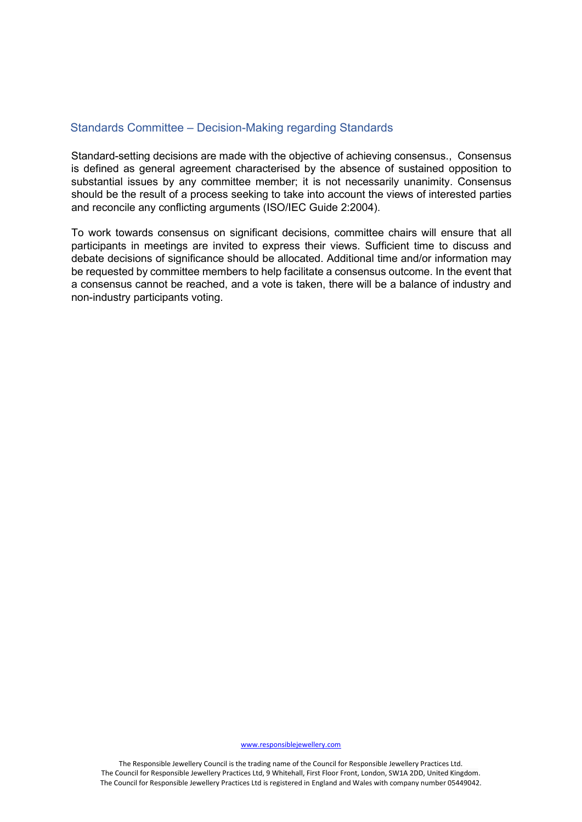### <span id="page-4-0"></span>Standards Committee – Decision-Making regarding Standards

Standard-setting decisions are made with the objective of achieving consensus., Consensus is defined as general agreement characterised by the absence of sustained opposition to substantial issues by any committee member; it is not necessarily unanimity. Consensus should be the result of a process seeking to take into account the views of interested parties and reconcile any conflicting arguments (ISO/IEC Guide 2:2004).

To work towards consensus on significant decisions, committee chairs will ensure that all participants in meetings are invited to express their views. Sufficient time to discuss and debate decisions of significance should be allocated. Additional time and/or information may be requested by committee members to help facilitate a consensus outcome. In the event that a consensus cannot be reached, and a vote is taken, there will be a balance of industry and non-industry participants voting.

[www.responsiblejewellery.com](http://www.responsiblejewellery.com/)

The Responsible Jewellery Council is the trading name of the Council for Responsible Jewellery Practices Ltd. The Council for Responsible Jewellery Practices Ltd, 9 Whitehall, First Floor Front, London, SW1A 2DD, United Kingdom. The Council for Responsible Jewellery Practices Ltd is registered in England and Wales with company number 05449042.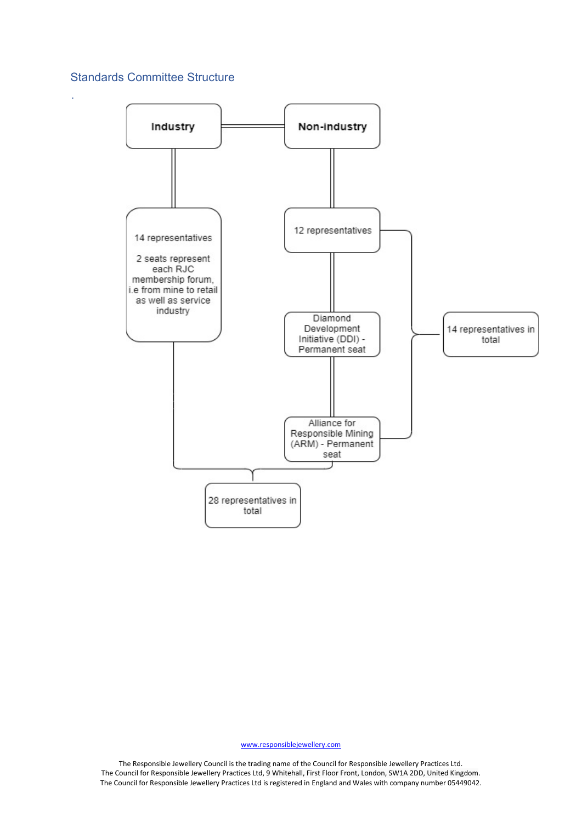# <span id="page-5-0"></span>Standards Committee Structure

.



[www.responsiblejewellery.com](http://www.responsiblejewellery.com/)

The Responsible Jewellery Council is the trading name of the Council for Responsible Jewellery Practices Ltd. The Council for Responsible Jewellery Practices Ltd, 9 Whitehall, First Floor Front, London, SW1A 2DD, United Kingdom. The Council for Responsible Jewellery Practices Ltd is registered in England and Wales with company number 05449042.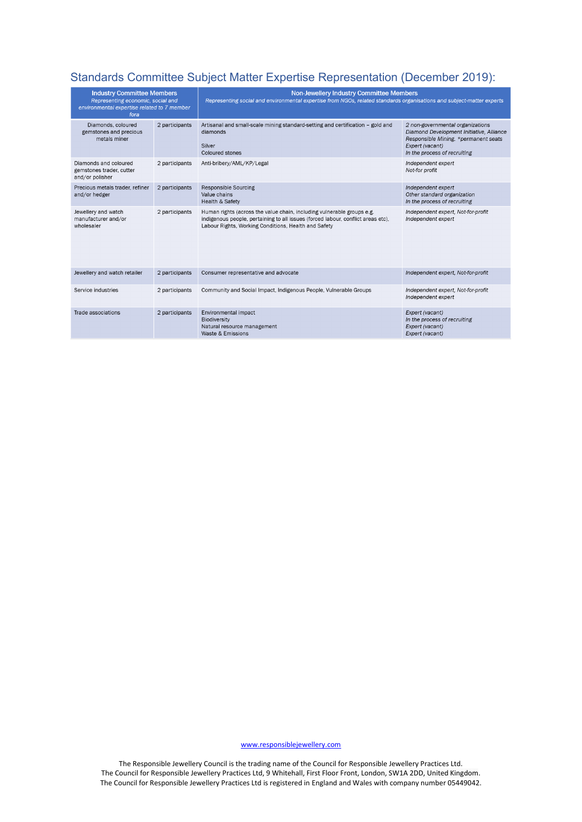# <span id="page-6-0"></span>Standards Committee Subject Matter Expertise Representation (December 2019):

| <b>Industry Committee Members</b><br>Representing economic, social and<br>environmental expertise related to 7 member<br>fora |                | <b>Non-Jewellery Industry Committee Members</b><br>Representing social and environmental expertise from NGOs, related standards organisations and subject-matter experts                                           |                                                                                                                                                                         |  |
|-------------------------------------------------------------------------------------------------------------------------------|----------------|--------------------------------------------------------------------------------------------------------------------------------------------------------------------------------------------------------------------|-------------------------------------------------------------------------------------------------------------------------------------------------------------------------|--|
| Diamonds, coloured<br>gemstones and precious<br>metals miner                                                                  | 2 participants | Artisanal and small-scale mining standard-setting and certification - gold and<br>diamonds<br>Silver<br><b>Coloured stones</b>                                                                                     | 2 non-governmental organizations<br>Diamond Development Initiative, Alliance<br>Responsible Mining. *permanent seats<br>Expert (vacant)<br>In the process of recruiting |  |
| Diamonds and coloured<br>gemstones trader, cutter<br>and/or polisher                                                          | 2 participants | Anti-bribery/AML/KP/Legal                                                                                                                                                                                          | Independent expert<br>Not-for profit                                                                                                                                    |  |
| Precious metals trader, refiner<br>and/or hedger                                                                              | 2 participants | <b>Responsible Sourcing</b><br>Value chains<br><b>Health &amp; Safety</b>                                                                                                                                          | Independent expert<br>Other standard organization<br>In the process of recruiting                                                                                       |  |
| Jewellery and watch<br>manufacturer and/or<br>wholesaler                                                                      | 2 participants | Human rights (across the value chain, including vulnerable groups e.g.<br>indigenous people, pertaining to all issues (forced labour, conflict areas etc),<br>Labour Rights, Working Conditions, Health and Safety | Independent expert, Not-for-profit<br>Independent expert                                                                                                                |  |
| Jewellery and watch retailer                                                                                                  | 2 participants | Consumer representative and advocate                                                                                                                                                                               | Independent expert, Not-for-profit                                                                                                                                      |  |
| Service industries                                                                                                            | 2 participants | Community and Social Impact, Indigenous People, Vulnerable Groups                                                                                                                                                  | Independent expert, Not-for-profit<br>Independent expert                                                                                                                |  |
| Trade associations                                                                                                            | 2 participants | Environmental impact<br>Biodiversity<br>Natural resource management<br>Waste & Emissions                                                                                                                           | Expert (vacant)<br>In the process of recruiting<br>Expert (vacant)<br>Expert (vacant)                                                                                   |  |